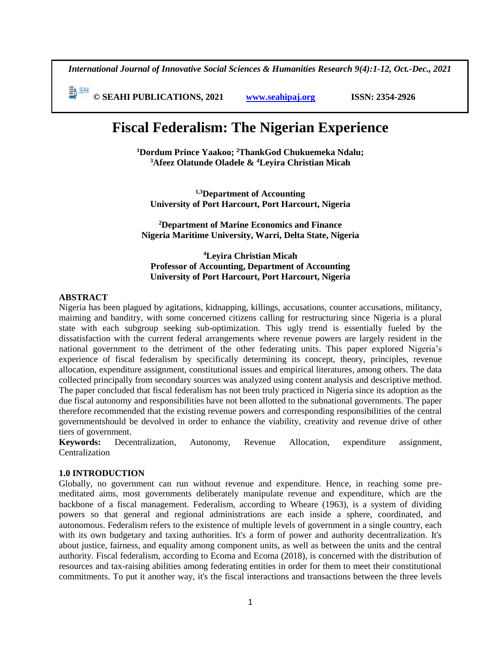*International Journal of Innovative Social Sciences & Humanities Research 9(4):1-12, Oct.-Dec., 2021*

 **© SEAHI PUBLICATIONS, 2021 [www.seahipaj.org](http://www.seahipaj.org/) ISSN: 2354-2926** 

# **Fiscal Federalism: The Nigerian Experience**

**<sup>1</sup>Dordum Prince Yaakoo; <sup>2</sup>ThankGod Chukuemeka Ndalu; <sup>3</sup>Afeez Olatunde Oladele & <sup>4</sup>Leyira Christian Micah**

**1,3Department of Accounting University of Port Harcourt, Port Harcourt, Nigeria**

**<sup>2</sup>Department of Marine Economics and Finance Nigeria Maritime University, Warri, Delta State, Nigeria**

**<sup>4</sup>Leyira Christian Micah Professor of Accounting, Department of Accounting University of Port Harcourt, Port Harcourt, Nigeria**

# **ABSTRACT**

Nigeria has been plagued by agitations, kidnapping, killings, accusations, counter accusations, militancy, maiming and banditry, with some concerned citizens calling for restructuring since Nigeria is a plural state with each subgroup seeking sub-optimization. This ugly trend is essentially fueled by the dissatisfaction with the current federal arrangements where revenue powers are largely resident in the national government to the detriment of the other federating units. This paper explored Nigeria's experience of fiscal federalism by specifically determining its concept, theory, principles, revenue allocation, expenditure assignment, constitutional issues and empirical literatures, among others. The data collected principally from secondary sources was analyzed using content analysis and descriptive method. The paper concluded that fiscal federalism has not been truly practiced in Nigeria since its adoption as the due fiscal autonomy and responsibilities have not been allotted to the subnational governments. The paper therefore recommended that the existing revenue powers and corresponding responsibilities of the central governmentshould be devolved in order to enhance the viability, creativity and revenue drive of other tiers of government.

**Keywords:** Decentralization, Autonomy, Revenue Allocation, expenditure assignment, Centralization

#### **1.0 INTRODUCTION**

Globally, no government can run without revenue and expenditure. Hence, in reaching some premeditated aims, most governments deliberately manipulate revenue and expenditure, which are the backbone of a fiscal management. Federalism, according to Wheare (1963), is a system of dividing powers so that general and regional administrations are each inside a sphere, coordinated, and autonomous. Federalism refers to the existence of multiple levels of government in a single country, each with its own budgetary and taxing authorities. It's a form of power and authority decentralization. It's about justice, fairness, and equality among component units, as well as between the units and the central authority. Fiscal federalism, according to Ecoma and Ecoma (2018), is concerned with the distribution of resources and tax-raising abilities among federating entities in order for them to meet their constitutional commitments. To put it another way, it's the fiscal interactions and transactions between the three levels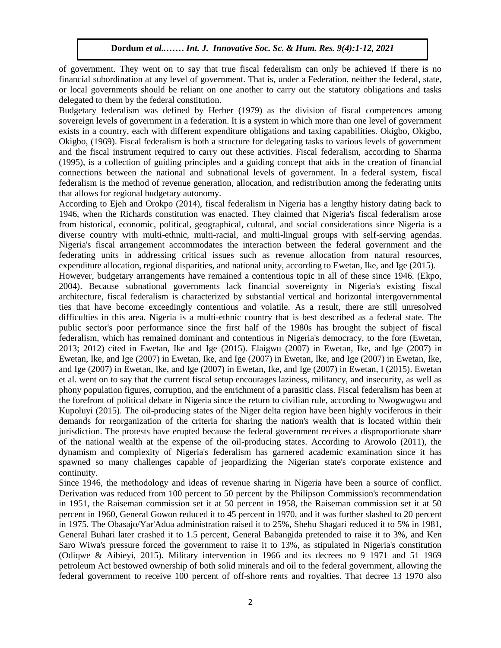of government. They went on to say that true fiscal federalism can only be achieved if there is no financial subordination at any level of government. That is, under a Federation, neither the federal, state, or local governments should be reliant on one another to carry out the statutory obligations and tasks delegated to them by the federal constitution.

Budgetary federalism was defined by Herber (1979) as the division of fiscal competences among sovereign levels of government in a federation. It is a system in which more than one level of government exists in a country, each with different expenditure obligations and taxing capabilities. Okigbo, Okigbo, Okigbo, (1969). Fiscal federalism is both a structure for delegating tasks to various levels of government and the fiscal instrument required to carry out these activities. Fiscal federalism, according to Sharma (1995), is a collection of guiding principles and a guiding concept that aids in the creation of financial connections between the national and subnational levels of government. In a federal system, fiscal federalism is the method of revenue generation, allocation, and redistribution among the federating units that allows for regional budgetary autonomy.

According to Ejeh and Orokpo (2014), fiscal federalism in Nigeria has a lengthy history dating back to 1946, when the Richards constitution was enacted. They claimed that Nigeria's fiscal federalism arose from historical, economic, political, geographical, cultural, and social considerations since Nigeria is a diverse country with multi-ethnic, multi-racial, and multi-lingual groups with self-serving agendas. Nigeria's fiscal arrangement accommodates the interaction between the federal government and the federating units in addressing critical issues such as revenue allocation from natural resources, expenditure allocation, regional disparities, and national unity, according to Ewetan, Ike, and Ige (2015).

However, budgetary arrangements have remained a contentious topic in all of these since 1946. (Ekpo, 2004). Because subnational governments lack financial sovereignty in Nigeria's existing fiscal architecture, fiscal federalism is characterized by substantial vertical and horizontal intergovernmental ties that have become exceedingly contentious and volatile. As a result, there are still unresolved difficulties in this area. Nigeria is a multi-ethnic country that is best described as a federal state. The public sector's poor performance since the first half of the 1980s has brought the subject of fiscal federalism, which has remained dominant and contentious in Nigeria's democracy, to the fore (Ewetan, 2013; 2012) cited in Ewetan, Ike and Ige (2015). Elaigwu (2007) in Ewetan, Ike, and Ige (2007) in Ewetan, Ike, and Ige (2007) in Ewetan, Ike, and Ige (2007) in Ewetan, Ike, and Ige (2007) in Ewetan, Ike, and Ige (2007) in Ewetan, Ike, and Ige (2007) in Ewetan, Ike, and Ige (2007) in Ewetan, I (2015). Ewetan et al. went on to say that the current fiscal setup encourages laziness, militancy, and insecurity, as well as phony population figures, corruption, and the enrichment of a parasitic class. Fiscal federalism has been at the forefront of political debate in Nigeria since the return to civilian rule, according to Nwogwugwu and Kupoluyi (2015). The oil-producing states of the Niger delta region have been highly vociferous in their demands for reorganization of the criteria for sharing the nation's wealth that is located within their jurisdiction. The protests have erupted because the federal government receives a disproportionate share of the national wealth at the expense of the oil-producing states. According to Arowolo (2011), the dynamism and complexity of Nigeria's federalism has garnered academic examination since it has spawned so many challenges capable of jeopardizing the Nigerian state's corporate existence and continuity.

Since 1946, the methodology and ideas of revenue sharing in Nigeria have been a source of conflict. Derivation was reduced from 100 percent to 50 percent by the Philipson Commission's recommendation in 1951, the Raiseman commission set it at 50 percent in 1958, the Raiseman commission set it at 50 percent in 1960, General Gowon reduced it to 45 percent in 1970, and it was further slashed to 20 percent in 1975. The Obasajo/Yar'Adua administration raised it to 25%, Shehu Shagari reduced it to 5% in 1981, General Buhari later crashed it to 1.5 percent, General Babangida pretended to raise it to 3%, and Ken Saro Wiwa's pressure forced the government to raise it to 13%, as stipulated in Nigeria's constitution (Odiqwe & Aibieyi, 2015). Military intervention in 1966 and its decrees no 9 1971 and 51 1969 petroleum Act bestowed ownership of both solid minerals and oil to the federal government, allowing the federal government to receive 100 percent of off-shore rents and royalties. That decree 13 1970 also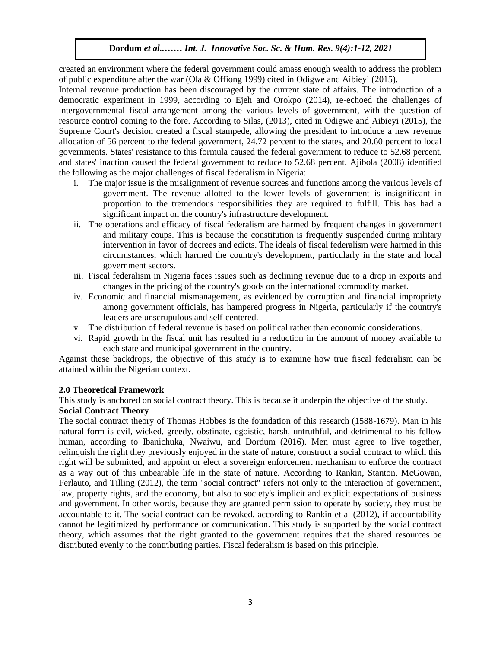created an environment where the federal government could amass enough wealth to address the problem of public expenditure after the war (Ola & Offiong 1999) cited in Odigwe and Aibieyi (2015).

Internal revenue production has been discouraged by the current state of affairs. The introduction of a democratic experiment in 1999, according to Ejeh and Orokpo (2014), re-echoed the challenges of intergovernmental fiscal arrangement among the various levels of government, with the question of resource control coming to the fore. According to Silas, (2013), cited in Odigwe and Aibieyi (2015), the Supreme Court's decision created a fiscal stampede, allowing the president to introduce a new revenue allocation of 56 percent to the federal government, 24.72 percent to the states, and 20.60 percent to local governments. States' resistance to this formula caused the federal government to reduce to 52.68 percent, and states' inaction caused the federal government to reduce to 52.68 percent. Ajibola (2008) identified the following as the major challenges of fiscal federalism in Nigeria:

- i. The major issue is the misalignment of revenue sources and functions among the various levels of government. The revenue allotted to the lower levels of government is insignificant in proportion to the tremendous responsibilities they are required to fulfill. This has had a significant impact on the country's infrastructure development.
- ii. The operations and efficacy of fiscal federalism are harmed by frequent changes in government and military coups. This is because the constitution is frequently suspended during military intervention in favor of decrees and edicts. The ideals of fiscal federalism were harmed in this circumstances, which harmed the country's development, particularly in the state and local government sectors.
- iii. Fiscal federalism in Nigeria faces issues such as declining revenue due to a drop in exports and changes in the pricing of the country's goods on the international commodity market.
- iv. Economic and financial mismanagement, as evidenced by corruption and financial impropriety among government officials, has hampered progress in Nigeria, particularly if the country's leaders are unscrupulous and self-centered.
- v. The distribution of federal revenue is based on political rather than economic considerations.
- vi. Rapid growth in the fiscal unit has resulted in a reduction in the amount of money available to each state and municipal government in the country.

Against these backdrops, the objective of this study is to examine how true fiscal federalism can be attained within the Nigerian context.

## **2.0 Theoretical Framework**

This study is anchored on social contract theory. This is because it underpin the objective of the study.

# **Social Contract Theory**

The social contract theory of Thomas Hobbes is the foundation of this research (1588-1679). Man in his natural form is evil, wicked, greedy, obstinate, egoistic, harsh, untruthful, and detrimental to his fellow human, according to Ibanichuka, Nwaiwu, and Dordum (2016). Men must agree to live together, relinquish the right they previously enjoyed in the state of nature, construct a social contract to which this right will be submitted, and appoint or elect a sovereign enforcement mechanism to enforce the contract as a way out of this unbearable life in the state of nature. According to Rankin, Stanton, McGowan, Ferlauto, and Tilling (2012), the term "social contract" refers not only to the interaction of government, law, property rights, and the economy, but also to society's implicit and explicit expectations of business and government. In other words, because they are granted permission to operate by society, they must be accountable to it. The social contract can be revoked, according to Rankin et al (2012), if accountability cannot be legitimized by performance or communication. This study is supported by the social contract theory, which assumes that the right granted to the government requires that the shared resources be distributed evenly to the contributing parties. Fiscal federalism is based on this principle.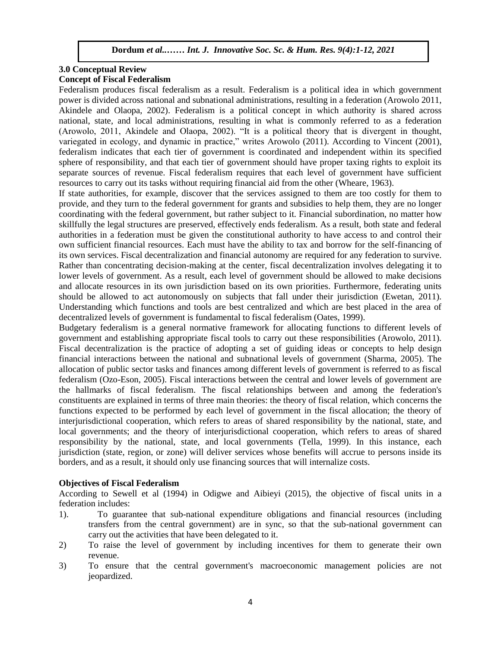# **3.0 Conceptual Review**

## **Concept of Fiscal Federalism**

Federalism produces fiscal federalism as a result. Federalism is a political idea in which government power is divided across national and subnational administrations, resulting in a federation (Arowolo 2011, Akindele and Olaopa, 2002). Federalism is a political concept in which authority is shared across national, state, and local administrations, resulting in what is commonly referred to as a federation (Arowolo, 2011, Akindele and Olaopa, 2002). "It is a political theory that is divergent in thought, variegated in ecology, and dynamic in practice," writes Arowolo (2011). According to Vincent (2001), federalism indicates that each tier of government is coordinated and independent within its specified sphere of responsibility, and that each tier of government should have proper taxing rights to exploit its separate sources of revenue. Fiscal federalism requires that each level of government have sufficient resources to carry out its tasks without requiring financial aid from the other (Wheare, 1963).

If state authorities, for example, discover that the services assigned to them are too costly for them to provide, and they turn to the federal government for grants and subsidies to help them, they are no longer coordinating with the federal government, but rather subject to it. Financial subordination, no matter how skillfully the legal structures are preserved, effectively ends federalism. As a result, both state and federal authorities in a federation must be given the constitutional authority to have access to and control their own sufficient financial resources. Each must have the ability to tax and borrow for the self-financing of its own services. Fiscal decentralization and financial autonomy are required for any federation to survive. Rather than concentrating decision-making at the center, fiscal decentralization involves delegating it to lower levels of government. As a result, each level of government should be allowed to make decisions and allocate resources in its own jurisdiction based on its own priorities. Furthermore, federating units should be allowed to act autonomously on subjects that fall under their jurisdiction (Ewetan, 2011). Understanding which functions and tools are best centralized and which are best placed in the area of decentralized levels of government is fundamental to fiscal federalism (Oates, 1999).

Budgetary federalism is a general normative framework for allocating functions to different levels of government and establishing appropriate fiscal tools to carry out these responsibilities (Arowolo, 2011). Fiscal decentralization is the practice of adopting a set of guiding ideas or concepts to help design financial interactions between the national and subnational levels of government (Sharma, 2005). The allocation of public sector tasks and finances among different levels of government is referred to as fiscal federalism (Ozo-Eson, 2005). Fiscal interactions between the central and lower levels of government are the hallmarks of fiscal federalism. The fiscal relationships between and among the federation's constituents are explained in terms of three main theories: the theory of fiscal relation, which concerns the functions expected to be performed by each level of government in the fiscal allocation; the theory of interjurisdictional cooperation, which refers to areas of shared responsibility by the national, state, and local governments; and the theory of interjurisdictional cooperation, which refers to areas of shared responsibility by the national, state, and local governments (Tella, 1999). In this instance, each jurisdiction (state, region, or zone) will deliver services whose benefits will accrue to persons inside its borders, and as a result, it should only use financing sources that will internalize costs.

# **Objectives of Fiscal Federalism**

According to Sewell et al (1994) in Odigwe and Aibieyi (2015), the objective of fiscal units in a federation includes:

- 1). To guarantee that sub-national expenditure obligations and financial resources (including transfers from the central government) are in sync, so that the sub-national government can carry out the activities that have been delegated to it.
- 2) To raise the level of government by including incentives for them to generate their own revenue.
- 3) To ensure that the central government's macroeconomic management policies are not jeopardized.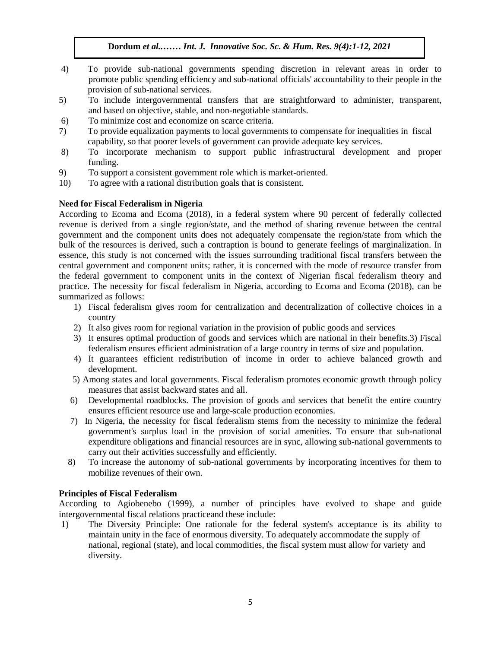- 4) To provide sub-national governments spending discretion in relevant areas in order to promote public spending efficiency and sub-national officials' accountability to their people in the provision of sub-national services.
- 5) To include intergovernmental transfers that are straightforward to administer, transparent, and based on objective, stable, and non-negotiable standards.
- 6) To minimize cost and economize on scarce criteria.
- 7) To provide equalization payments to local governments to compensate for inequalities in fiscal capability, so that poorer levels of government can provide adequate key services.
- 8) To incorporate mechanism to support public infrastructural development and proper funding.
- 9) To support a consistent government role which is market-oriented.
- 10) To agree with a rational distribution goals that is consistent.

# **Need for Fiscal Federalism in Nigeria**

According to Ecoma and Ecoma (2018), in a federal system where 90 percent of federally collected revenue is derived from a single region/state, and the method of sharing revenue between the central government and the component units does not adequately compensate the region/state from which the bulk of the resources is derived, such a contraption is bound to generate feelings of marginalization. In essence, this study is not concerned with the issues surrounding traditional fiscal transfers between the central government and component units; rather, it is concerned with the mode of resource transfer from the federal government to component units in the context of Nigerian fiscal federalism theory and practice. The necessity for fiscal federalism in Nigeria, according to Ecoma and Ecoma (2018), can be summarized as follows:

- 1) Fiscal federalism gives room for centralization and decentralization of collective choices in a country
- 2) It also gives room for regional variation in the provision of public goods and services
- 3) It ensures optimal production of goods and services which are national in their benefits. 3) Fiscal federalism ensures efficient administration of a large country in terms of size and population.
- 4) It guarantees efficient redistribution of income in order to achieve balanced growth and development.
- 5) Among states and local governments. Fiscal federalism promotes economic growth through policy measures that assist backward states and all.
- 6) Developmental roadblocks. The provision of goods and services that benefit the entire country ensures efficient resource use and large-scale production economies.
- 7) In Nigeria, the necessity for fiscal federalism stems from the necessity to minimize the federal government's surplus load in the provision of social amenities. To ensure that sub-national expenditure obligations and financial resources are in sync, allowing sub-national governments to carry out their activities successfully and efficiently.
- 8) To increase the autonomy of sub-national governments by incorporating incentives for them to mobilize revenues of their own.

# **Principles of Fiscal Federalism**

According to Agiobenebo (1999), a number of principles have evolved to shape and guide intergovernmental fiscal relations practiceand these include:

1) The Diversity Principle: One rationale for the federal system's acceptance is its ability to maintain unity in the face of enormous diversity. To adequately accommodate the supply of national, regional (state), and local commodities, the fiscal system must allow for variety and diversity.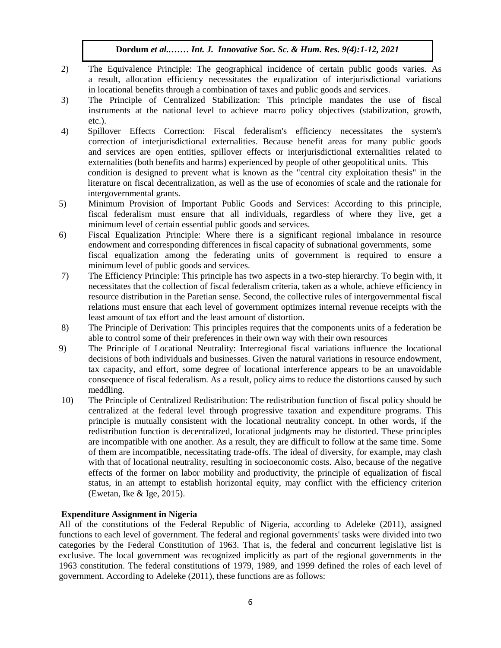- 2) The Equivalence Principle: The geographical incidence of certain public goods varies. As a result, allocation efficiency necessitates the equalization of interjurisdictional variations in locational benefits through a combination of taxes and public goods and services.
- 3) The Principle of Centralized Stabilization: This principle mandates the use of fiscal instruments at the national level to achieve macro policy objectives (stabilization, growth, etc.).
- 4) Spillover Effects Correction: Fiscal federalism's efficiency necessitates the system's correction of interjurisdictional externalities. Because benefit areas for many public goods and services are open entities, spillover effects or interjurisdictional externalities related to externalities (both benefits and harms) experienced by people of other geopolitical units. This condition is designed to prevent what is known as the "central city exploitation thesis" in the literature on fiscal decentralization, as well as the use of economies of scale and the rationale for intergovernmental grants.
- 5) Minimum Provision of Important Public Goods and Services: According to this principle, fiscal federalism must ensure that all individuals, regardless of where they live, get a minimum level of certain essential public goods and services.
- 6) Fiscal Equalization Principle: Where there is a significant regional imbalance in resource endowment and corresponding differences in fiscal capacity of subnational governments, some fiscal equalization among the federating units of government is required to ensure a minimum level of public goods and services.
- 7) The Efficiency Principle: This principle has two aspects in a two-step hierarchy. To begin with, it necessitates that the collection of fiscal federalism criteria, taken as a whole, achieve efficiency in resource distribution in the Paretian sense. Second, the collective rules of intergovernmental fiscal relations must ensure that each level of government optimizes internal revenue receipts with the least amount of tax effort and the least amount of distortion.
- 8) The Principle of Derivation: This principles requires that the components units of a federation be able to control some of their preferences in their own way with their own resources
- 9) The Principle of Locational Neutrality: Interregional fiscal variations influence the locational decisions of both individuals and businesses. Given the natural variations in resource endowment, tax capacity, and effort, some degree of locational interference appears to be an unavoidable consequence of fiscal federalism. As a result, policy aims to reduce the distortions caused by such meddling.
- 10) The Principle of Centralized Redistribution: The redistribution function of fiscal policy should be centralized at the federal level through progressive taxation and expenditure programs. This principle is mutually consistent with the locational neutrality concept. In other words, if the redistribution function is decentralized, locational judgments may be distorted. These principles are incompatible with one another. As a result, they are difficult to follow at the same time. Some of them are incompatible, necessitating trade-offs. The ideal of diversity, for example, may clash with that of locational neutrality, resulting in socioeconomic costs. Also, because of the negative effects of the former on labor mobility and productivity, the principle of equalization of fiscal status, in an attempt to establish horizontal equity, may conflict with the efficiency criterion (Ewetan, Ike & Ige, 2015).

# **Expenditure Assignment in Nigeria**

All of the constitutions of the Federal Republic of Nigeria, according to Adeleke (2011), assigned functions to each level of government. The federal and regional governments' tasks were divided into two categories by the Federal Constitution of 1963. That is, the federal and concurrent legislative list is exclusive. The local government was recognized implicitly as part of the regional governments in the 1963 constitution. The federal constitutions of 1979, 1989, and 1999 defined the roles of each level of government. According to Adeleke (2011), these functions are as follows: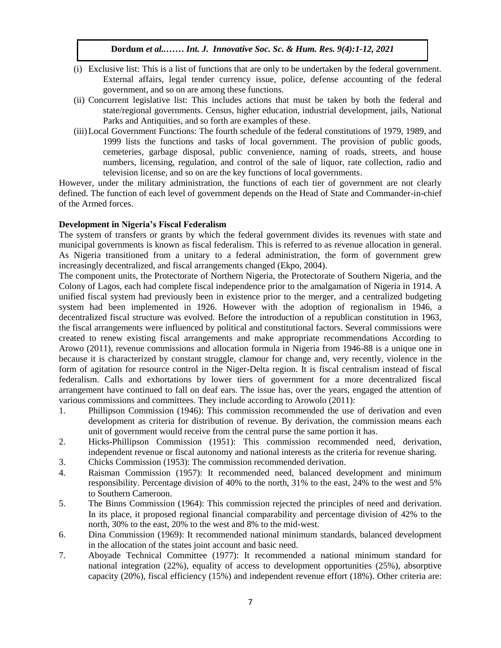- (i) Exclusive list: This is a list of functions that are only to be undertaken by the federal government. External affairs, legal tender currency issue, police, defense accounting of the federal government, and so on are among these functions.
- (ii) Concurrent legislative list: This includes actions that must be taken by both the federal and state/regional governments. Census, higher education, industrial development, jails, National Parks and Antiquities, and so forth are examples of these.
- (iii) Local Government Functions: The fourth schedule of the federal constitutions of 1979, 1989, and 1999 lists the functions and tasks of local government. The provision of public goods, cemeteries, garbage disposal, public convenience, naming of roads, streets, and house numbers, licensing, regulation, and control of the sale of liquor, rate collection, radio and television license, and so on are the key functions of local governments.

However, under the military administration, the functions of each tier of government are not clearly defined. The function of each level of government depends on the Head of State and Commander-in-chief of the Armed forces.

# **Development in Nigeria's Fiscal Federalism**

The system of transfers or grants by which the federal government divides its revenues with state and municipal governments is known as fiscal federalism. This is referred to as revenue allocation in general. As Nigeria transitioned from a unitary to a federal administration, the form of government grew increasingly decentralized, and fiscal arrangements changed (Ekpo, 2004).

The component units, the Protectorate of Northern Nigeria, the Protectorate of Southern Nigeria, and the Colony of Lagos, each had complete fiscal independence prior to the amalgamation of Nigeria in 1914. A unified fiscal system had previously been in existence prior to the merger, and a centralized budgeting system had been implemented in 1926. However with the adoption of regionalism in 1946, a decentralized fiscal structure was evolved. Before the introduction of a republican constitution in 1963, the fiscal arrangements were influenced by political and constitutional factors. Several commissions were created to renew existing fiscal arrangements and make appropriate recommendations According to Arowo (2011), revenue commissions and allocation formula in Nigeria from 1946-88 is a unique one in because it is characterized by constant struggle, clamour for change and, very recently, violence in the form of agitation for resource control in the Niger-Delta region. It is fiscal centralism instead of fiscal federalism. Calls and exhortations by lower tiers of government for a more decentralized fiscal arrangement have continued to fall on deaf ears. The issue has, over the years, engaged the attention of various commissions and committees. They include according to Arowolo (2011):

- 1. Phillipson Commission (1946): This commission recommended the use of derivation and even development as criteria for distribution of revenue. By derivation, the commission means each unit of government would receive from the central purse the same portion it has.
- 2. Hicks-Phillipson Commission (1951): This commission recommended need, derivation, independent revenue or fiscal autonomy and national interests as the criteria for revenue sharing.
- 3. Chicks Commission (1953): The commission recommended derivation.
- 4. Raisman Commission (1957): It recommended need, balanced development and minimum responsibility. Percentage division of 40% to the north, 31% to the east, 24% to the west and 5% to Southern Cameroon.
- 5. The Binns Commission (1964): This commission rejected the principles of need and derivation. In its place, it proposed regional financial comparability and percentage division of 42% to the north, 30% to the east, 20% to the west and 8% to the mid-west.
- 6. Dina Commission (1969): It recommended national minimum standards, balanced development in the allocation of the states joint account and basic need.
- 7. Aboyade Technical Committee (1977): It recommended a national minimum standard for national integration (22%), equality of access to development opportunities (25%), absorptive capacity (20%), fiscal efficiency (15%) and independent revenue effort (18%). Other criteria are: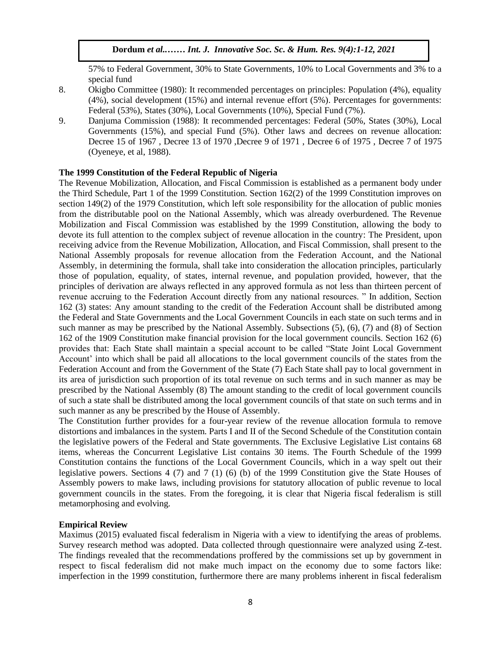57% to Federal Government, 30% to State Governments, 10% to Local Governments and 3% to a special fund

- 8. Okigbo Committee (1980): It recommended percentages on principles: Population (4%), equality (4%), social development (15%) and internal revenue effort (5%). Percentages for governments: Federal (53%), States (30%), Local Governments (10%), Special Fund (7%).
- 9. Danjuma Commission (1988): It recommended percentages: Federal (50%, States (30%), Local Governments (15%), and special Fund (5%). Other laws and decrees on revenue allocation: Decree 15 of 1967 , Decree 13 of 1970 ,Decree 9 of 1971 , Decree 6 of 1975 , Decree 7 of 1975 (Oyeneye, et al, 1988).

# The 1999 Constitution of the Federal Republic of Nigeria

The Revenue Mobilization, Allocation, and Fiscal Commission is established as a permanent body under the Third Schedule, Part 1 of the 1999 Constitution. Section 162(2) of the 1999 Constitution improves on section 149(2) of the 1979 Constitution, which left sole responsibility for the allocation of public monies from the distributable pool on the National Assembly, which was already overburdened. The Revenue Mobilization and Fiscal Commission was established by the 1999 Constitution, allowing the body to devote its full attention to the complex subject of revenue allocation in the country: The President, upon receiving advice from the Revenue Mobilization, Allocation, and Fiscal Commission, shall present to the National Assembly proposals for revenue allocation from the Federation Account, and the National Assembly, in determining the formula, shall take into consideration the allocation principles, particularly those of population, equality, of states, internal revenue, and population provided, however, that the principles of derivation are always reflected in any approved formula as not less than thirteen percent of revenue accruing to the Federation Account directly from any national resources. " In addition, Section 162 (3) states: Any amount standing to the credit of the Federation Account shall be distributed among the Federal and State Governments and the Local Government Councils in each state on such terms and in such manner as may be prescribed by the National Assembly. Subsections (5), (6), (7) and (8) of Section 162 of the 1909 Constitution make financial provision for the local government councils. Section 162 (6) provides that: Each State shall maintain a special account to be called "State Joint Local Government Account' into which shall be paid all allocations to the local government councils of the states from the Federation Account and from the Government of the State (7) Each State shall pay to local government in its area of jurisdiction such proportion of its total revenue on such terms and in such manner as may be prescribed by the National Assembly (8) The amount standing to the credit of local government councils of such a state shall be distributed among the local government councils of that state on such terms and in such manner as any be prescribed by the House of Assembly.

The Constitution further provides for a four-year review of the revenue allocation formula to remove distortions and imbalances in the system. Parts I and II of the Second Schedule of the Constitution contain the legislative powers of the Federal and State governments. The Exclusive Legislative List contains 68 items, whereas the Concurrent Legislative List contains 30 items. The Fourth Schedule of the 1999 Constitution contains the functions of the Local Government Councils, which in a way spelt out their legislative powers. Sections 4 (7) and 7 (1) (6) (b) of the 1999 Constitution give the State Houses of Assembly powers to make laws, including provisions for statutory allocation of public revenue to local government councils in the states. From the foregoing, it is clear that Nigeria fiscal federalism is still metamorphosing and evolving.

## **Empirical Review**

Maximus (2015) evaluated fiscal federalism in Nigeria with a view to identifying the areas of problems. Survey research method was adopted. Data collected through questionnaire were analyzed using Z-test. The findings revealed that the recommendations proffered by the commissions set up by government in respect to fiscal federalism did not make much impact on the economy due to some factors like: imperfection in the 1999 constitution, furthermore there are many problems inherent in fiscal federalism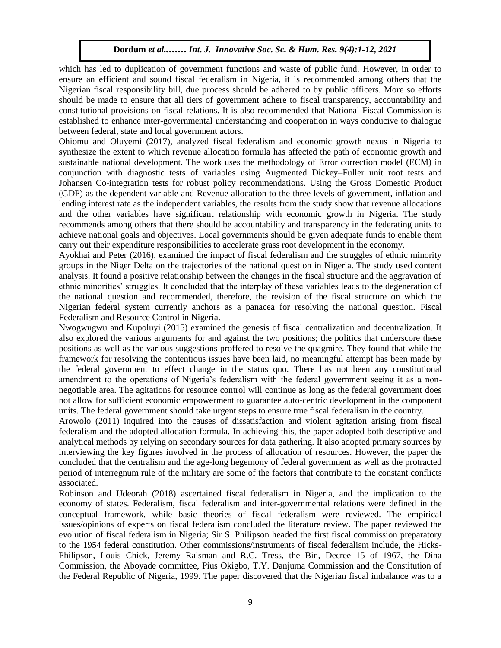which has led to duplication of government functions and waste of public fund. However, in order to ensure an efficient and sound fiscal federalism in Nigeria, it is recommended among others that the Nigerian fiscal responsibility bill, due process should be adhered to by public officers. More so efforts should be made to ensure that all tiers of government adhere to fiscal transparency, accountability and constitutional provisions on fiscal relations. It is also recommended that National Fiscal Commission is established to enhance inter-governmental understanding and cooperation in ways conducive to dialogue between federal, state and local government actors.

Ohiomu and Oluyemi (2017), analyzed fiscal federalism and economic growth nexus in Nigeria to synthesize the extent to which revenue allocation formula has affected the path of economic growth and sustainable national development. The work uses the methodology of Error correction model (ECM) in conjunction with diagnostic tests of variables using Augmented Dickey-Fuller unit root tests and Johansen Co-integration tests for robust policy recommendations. Using the Gross Domestic Product (GDP) as the dependent variable and Revenue allocation to the three levels of government, inflation and lending interest rate as the independent variables, the results from the study show that revenue allocations and the other variables have significant relationship with economic growth in Nigeria. The study recommends among others that there should be accountability and transparency in the federating units to achieve national goals and objectives. Local governments should be given adequate funds to enable them carry out their expenditure responsibilities to accelerate grass root development in the economy.

Ayokhai and Peter (2016), examined the impact of fiscal federalism and the struggles of ethnic minority groups in the Niger Delta on the trajectories of the national question in Nigeria. The study used content analysis. It found a positive relationship between the changes in the fiscal structure and the aggravation of ethnic minorities' struggles. It concluded that the interplay of these variables leads to the degeneration of the national question and recommended, therefore, the revision of the fiscal structure on which the Nigerian federal system currently anchors as a panacea for resolving the national question. Fiscal Federalism and Resource Control in Nigeria.

Nwogwugwu and Kupoluyi (2015) examined the genesis of fiscal centralization and decentralization. It also explored the various arguments for and against the two positions; the politics that underscore these positions as well as the various suggestions proffered to resolve the quagmire. They found that while the framework for resolving the contentious issues have been laid, no meaningful attempt has been made by the federal government to effect change in the status quo. There has not been any constitutional amendment to the operations of Nigeria's federalism with the federal government seeing it as a nonnegotiable area. The agitations for resource control will continue as long as the federal government does not allow for sufficient economic empowerment to guarantee auto-centric development in the component units. The federal government should take urgent steps to ensure true fiscal federalism in the country.

Arowolo (2011) inquired into the causes of dissatisfaction and violent agitation arising from fiscal federalism and the adopted allocation formula. In achieving this, the paper adopted both descriptive and analytical methods by relying on secondary sources for data gathering. It also adopted primary sources by interviewing the key figures involved in the process of allocation of resources. However, the paper the concluded that the centralism and the age-long hegemony of federal government as well as the protracted period of interregnum rule of the military are some of the factors that contribute to the constant conflicts associated.

Robinson and Udeorah (2018) ascertained fiscal federalism in Nigeria, and the implication to the economy of states. Federalism, fiscal federalism and inter-governmental relations were defined in the conceptual framework, while basic theories of fiscal federalism were reviewed. The empirical issues/opinions of experts on fiscal federalism concluded the literature review. The paper reviewed the evolution of fiscal federalism in Nigeria; Sir S. Philipson headed the first fiscal commission preparatory to the 1954 federal constitution. Other commissions/instruments of fiscal federalism include, the Hicks-Philipson, Louis Chick, Jeremy Raisman and R.C. Tress, the Bin, Decree 15 of 1967, the Dina Commission, the Aboyade committee, Pius Okigbo, T.Y. Danjuma Commission and the Constitution of the Federal Republic of Nigeria, 1999. The paper discovered that the Nigerian fiscal imbalance was to a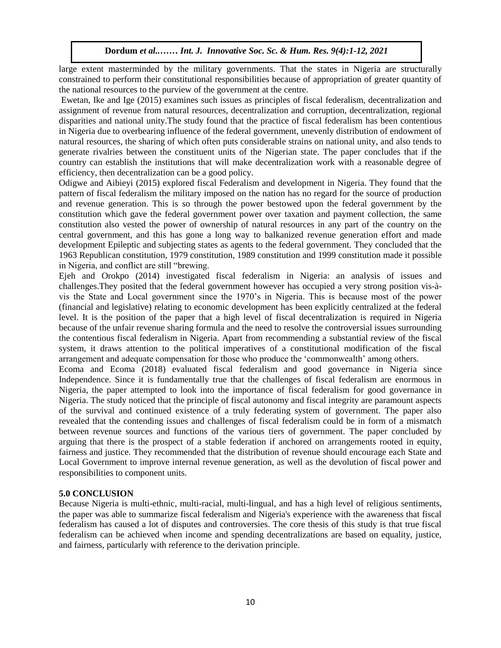large extent masterminded by the military governments. That the states in Nigeria are structurally constrained to perform their constitutional responsibilities because of appropriation of greater quantity of the national resources to the purview of the government at the centre.

Ewetan, Ike and Ige (2015) examines such issues as principles of fiscal federalism, decentralization and assignment of revenue from natural resources, decentralization and corruption, decentralization, regional disparities and national unity.The study found that the practice of fiscal federalism has been contentious in Nigeria due to overbearing influence of the federal government, unevenly distribution of endowment of natural resources, the sharing of which often puts considerable strains on national unity, and also tends to generate rivalries between the constituent units of the Nigerian state. The paper concludes that if the country can establish the institutions that will make decentralization work with a reasonable degree of efficiency, then decentralization can be a good policy.

Odigwe and Aibieyi (2015) explored fiscal Federalism and development in Nigeria. They found that the pattern of fiscal federalism the military imposed on the nation has no regard for the source of production and revenue generation. This is so through the power bestowed upon the federal government by the constitution which gave the federal government power over taxation and payment collection, the same constitution also vested the power of ownership of natural resources in any part of the country on the central government, and this has gone a long way to balkanized revenue generation effort and made development Epileptic and subjecting states as agents to the federal government. They concluded that the 1963 Republican constitution, 1979 constitution, 1989 constitution and 1999 constitution made it possible in Nigeria, and conflict are still "brewing.

Ejeh and Orokpo (2014) investigated fiscal federalism in Nigeria: an analysis of issues and challenges.They posited that the federal government however has occupied a very strong position vis-àvis the State and Local government since the 1970's in Nigeria. This is because most of the power (financial and legislative) relating to economic development has been explicitly centralized at the federal level. It is the position of the paper that a high level of fiscal decentralization is required in Nigeria because of the unfair revenue sharing formula and the need to resolve the controversial issues surrounding the contentious fiscal federalism in Nigeria. Apart from recommending a substantial review of the fiscal intersystem, it draws attention to the political imperatives of a constitutional modification of the fiscal arrangement and adequate compensation for those who produce the 'commonwealth' among others.

Ecoma and Ecoma (2018) evaluated fiscal federalism and good governance in Nigeria since Independence. Since it is fundamentally true that the challenges of fiscal federalism are enormous in Nigeria, the paper attempted to look into the importance of fiscal federalism for good governance in Nigeria. The study noticed that the principle of fiscal autonomy and fiscal integrity are paramount aspects of the survival and continued existence of a truly federating system of government. The paper also revealed that the contending issues and challenges of fiscal federalism could be in form of a mismatch between revenue sources and functions of the various tiers of government. The paper concluded by arguing that there is the prospect of a stable federation if anchored on arrangements rooted in equity, fairness and justice. They recommended that the distribution of revenue should encourage each State and Local Government to improve internal revenue generation, as well as the devolution of fiscal power and responsibilities to component units.

# **5.0 CONCLUSION**

Because Nigeria is multi-ethnic, multi-racial, multi-lingual, and has a high level of religious sentiments, the paper was able to summarize fiscal federalism and Nigeria's experience with the awareness that fiscal federalism has caused a lot of disputes and controversies. The core thesis of this study is that true fiscal federalism can be achieved when income and spending decentralizations are based on equality, justice, and fairness, particularly with reference to the derivation principle.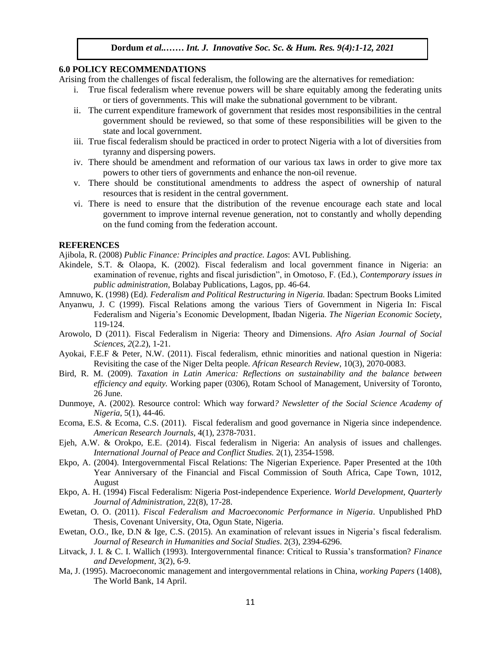#### **6.0 POLICY RECOMMENDATIONS**

Arising from the challenges of fiscal federalism, the following are the alternatives for remediation:

- i. True fiscal federalism where revenue powers will be share equitably among the federating units or tiers of governments. This will make the subnational government to be vibrant.
- ii. The current expenditure framework of government that resides most responsibilities in the central government should be reviewed, so that some of these responsibilities will be given to the state and local government.
- iii. True fiscal federalism should be practiced in order to protect Nigeria with a lot of diversities from tyranny and dispersing powers.
- iv. There should be amendment and reformation of our various tax laws in order to give more tax powers to other tiers of governments and enhance the non-oil revenue.
- v. There should be constitutional amendments to address the aspect of ownership of natural resources that is resident in the central government.
- vi. There is need to ensure that the distribution of the revenue encourage each state and local government to improve internal revenue generation, not to constantly and wholly depending on the fund coming from the federation account.

#### **REFERENCES**

Ajibola, R. (2008) *Public Finance: Principles and practice. Lagos:* AVL Publishing.

- Akindele, S.T. & Olaopa, K. (2002). Fiscal federalism and local government finance in Nigeria: an examination of revenue, rights and fiscal jurisdiction", in Omotoso, F. (Ed.), *Contemporary issues in public administration,* Bolabay Publications, Lagos, pp. 46-64.
- Amnuwo, K. (1998) (Ed). *Federalism and Political Restructuring in Nigeria*. Ibadan: Spectrum Books Limited
- Anyanwu, J. C (1999). Fiscal Relations among the various Tiers of Government in Nigeria In: Fiscal Federalism and Nigeria's Economic Development, Ibadan Nigeria. *The Nigerian Economic Society*, 119-124.
- Arowolo, D (2011). Fiscal Federalism in Nigeria: Theory and Dimensions. *Afro Asian Journal of Social* Social **Social** *Sciences, 2*(2.2), 1-21.
- Ayokai, F.E.F & Peter, N.W. (2011). Fiscal federalism, ethnic minorities and national question in Nigeria: Revisiting the case of the Niger Delta people*. African Research Review*, 10(3), 2070-0083.
- Bird, R. M. (2009). *Taxation in Latin America: Reflections on sustainability and the balance between efficiency and equity.* Working paper (0306), Rotam School of Management, University of Toronto, 26 June.
- Dunmoye, A. (2002). Resource control: Which way forward*? Newsletter of the Social Science Academy of Nigeria*, 5(1), 44-46.
- Ecoma, E.S. & Ecoma, C.S. (2011). Fiscal federalism and good governance in Nigeria since independence*. American Research Journals*, 4(1), 2378-7031.
- Ejeh, A.W. & Orokpo, E.E. (2014). Fiscal federalism in Nigeria: An analysis of issues and challenges. *International Journal of Peace and Conflict Studies.* 2(1), 2354-1598.
- Ekpo, A. (2004). Intergovernmental Fiscal Relations: The Nigerian Experience. Paper Presented at the 10th Year Anniversary of the Financial and Fiscal Commission of South Africa, Cape Town, 1012, August
- Ekpo, A. H. (1994) Fiscal Federalism: Nigeria Post-independence Experience. *World Development, Quarterly Journal of Administration,* 22(8), 17-28.
- Ewetan, O. O. (2011). *Fiscal Federalism and Macroeconomic Performance in Nigeria*. Unpublished PhD Thesis, Covenant University, Ota, Ogun State, Nigeria.
- Ewetan, O.O., Ike, D.N & Ige, C.S. (2015). An examination of relevant issues in Nigeria's fiscal federalism. *Journal of Research in Humanities and Social Studies*. 2(3), 2394-6296.
- Litvack, J. I. & C. I. Wallich (1993). Intergovernmental finance: Critical to Russia's transformation? *Finance and Development*, 3(2), 6-9.
- Ma, J. (1995). Macroeconomic management and intergovernmental relations in China*, working Papers* (1408), The World Bank, 14 April.